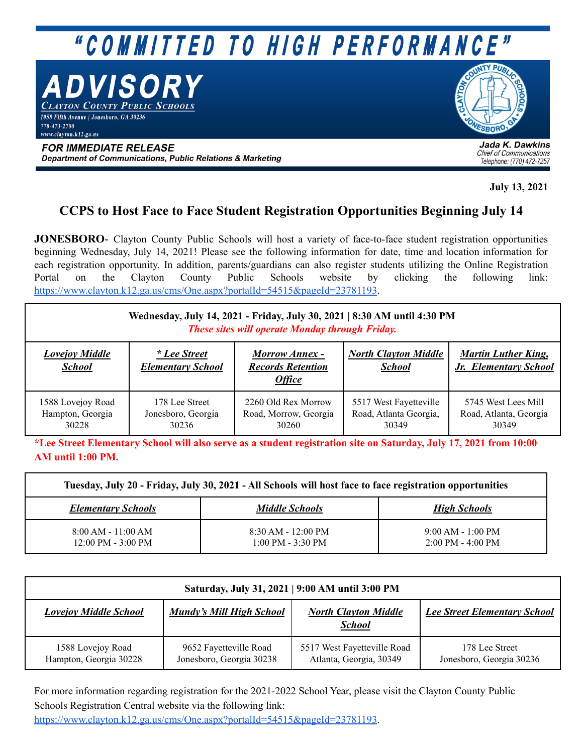## "COMMITTED TO HIGH PERFORMANCE"

DVISORY

AYTON COUNTY PUBLIC SCHOOLS <u>.<br>1058 Fifth Avenue | Jonesboro, GA 30236</u> 770-473-2700

www.clavton.k12.ga.us

**SBORO** 

**FOR IMMEDIATE RELEASE** Department of Communications, Public Relations & Marketing

Jada K. Dawkins **Chief of Communications** Telephone: (770) 472-7257

**July 13, 2021**

## **CCPS to Host Face to Face Student Registration Opportunities Beginning July 14**

**JONESBORO**- Clayton County Public Schools will host a variety of face-to-face student registration opportunities beginning Wednesday, July 14, 2021! Please see the following information for date, time and location information for each registration opportunity. In addition, parents/guardians can also register students utilizing the Online Registration Portal on the Clayton County Public Schools website by clicking the following link: <https://www.clayton.k12.ga.us/cms/One.aspx?portalId=54515&pageId=23781193>.

| Wednesday, July 14, 2021 - Friday, July 30, 2021   8:30 AM until 4:30 PM<br>These sites will operate Monday through Friday. |                                                 |                                                                    |                                                           |                                                        |  |  |  |
|-----------------------------------------------------------------------------------------------------------------------------|-------------------------------------------------|--------------------------------------------------------------------|-----------------------------------------------------------|--------------------------------------------------------|--|--|--|
| <b>Lovejoy Middle</b><br><b>School</b>                                                                                      | <i>* Lee Street</i><br><b>Elementary School</b> | <b>Morrow Annex -</b><br><b>Records Retention</b><br><b>Office</b> | <b>North Clayton Middle</b><br><b>School</b>              | <b>Martin Luther King,</b><br>Jr. Elementary School    |  |  |  |
| 1588 Lovejoy Road<br>Hampton, Georgia<br>30228                                                                              | 178 Lee Street<br>Jonesboro, Georgia<br>30236   | 2260 Old Rex Morrow<br>Road, Morrow, Georgia<br>30260              | 5517 West Fayetteville<br>Road, Atlanta Georgia,<br>30349 | 5745 West Lees Mill<br>Road, Atlanta, Georgia<br>30349 |  |  |  |

\*Lee Street Elementary School will also serve as a student registration site on Saturday, July 17, 2021 from 10:00 **AM until 1:00 PM.**

| Tuesday, July 20 - Friday, July 30, 2021 - All Schools will host face to face registration opportunities |                                             |                                                            |  |  |  |  |
|----------------------------------------------------------------------------------------------------------|---------------------------------------------|------------------------------------------------------------|--|--|--|--|
| <b>Elementary Schools</b>                                                                                | <b>Middle Schools</b>                       | <b>High Schools</b>                                        |  |  |  |  |
| $8:00$ AM - 11:00 AM<br>$12:00 \text{ PM} - 3:00 \text{ PM}$                                             | $8:30$ AM - 12:00 PM<br>$1:00$ PM - 3:30 PM | $9:00$ AM - 1:00 PM<br>$2:00 \text{ PM} - 4:00 \text{ PM}$ |  |  |  |  |

| Saturday, July 31, 2021   9:00 AM until 3:00 PM |                                                    |                                                        |                                            |  |  |  |  |
|-------------------------------------------------|----------------------------------------------------|--------------------------------------------------------|--------------------------------------------|--|--|--|--|
| <b>Lovejoy Middle School</b>                    | <b>Mundy's Mill High School</b>                    | <b>North Clayton Middle</b><br><b>School</b>           | <b>Lee Street Elementary School</b>        |  |  |  |  |
| 1588 Lovejoy Road<br>Hampton, Georgia 30228     | 9652 Fayetteville Road<br>Jonesboro, Georgia 30238 | 5517 West Fayetteville Road<br>Atlanta, Georgia, 30349 | 178 Lee Street<br>Jonesboro, Georgia 30236 |  |  |  |  |

For more information regarding registration for the 2021-2022 School Year, please visit the Clayton County Public Schools Registration Central website via the following link:

<https://www.clayton.k12.ga.us/cms/One.aspx?portalId=54515&pageId=23781193>.